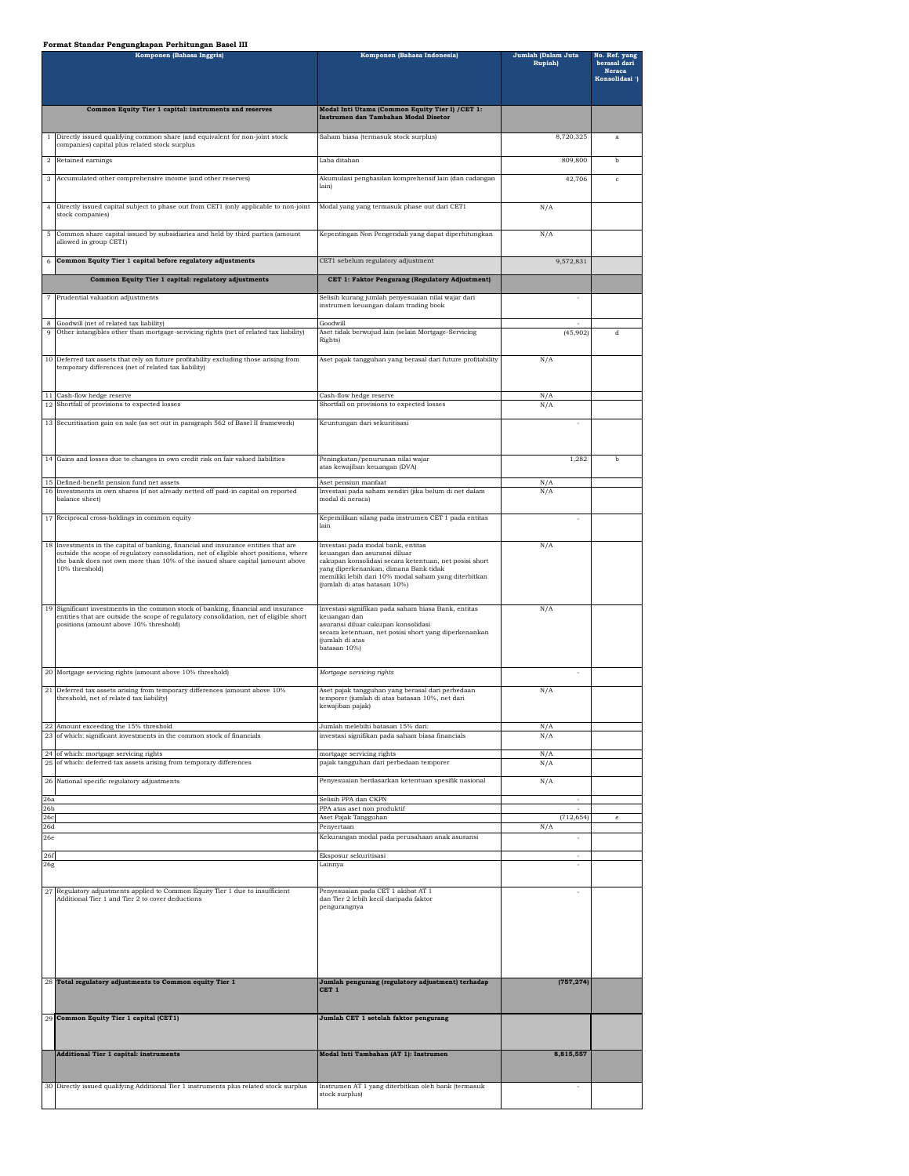## **Format Standar Pengungkapan Perhitungan Basel III**

|                        | Komponen (Bahasa Inggris)                                                                                                                                                                                           | Komponen (Bahasa Indonesia)                                                                                                                                                                            | Jumlah (Dalam Juta<br>Rupiah) | No. Ref. yang<br>berasal dari<br><b>Neraca</b><br>Konsolidasi ') |
|------------------------|---------------------------------------------------------------------------------------------------------------------------------------------------------------------------------------------------------------------|--------------------------------------------------------------------------------------------------------------------------------------------------------------------------------------------------------|-------------------------------|------------------------------------------------------------------|
|                        | Common Equity Tier 1 capital: instruments and reserves                                                                                                                                                              | Modal Inti Utama (Common Equity Tier I) / CET 1:                                                                                                                                                       |                               |                                                                  |
|                        |                                                                                                                                                                                                                     | Instrumen dan Tambahan Modal Disetor                                                                                                                                                                   |                               |                                                                  |
| $\mathbf{1}$           | Directly issued qualifying common share (and equivalent for non-joint stock<br>companies) capital plus related stock surplus                                                                                        | Saham biasa (termasuk stock surplus)                                                                                                                                                                   | 8,720,325                     | $\mathbf{a}$                                                     |
|                        | 2 Retained earnings                                                                                                                                                                                                 | Laba ditahan                                                                                                                                                                                           | 809,800                       | b                                                                |
| 3                      | Accumulated other comprehensive income (and other reserves)                                                                                                                                                         | Akumulasi penghasilan komprehensif lain (dan cadangan<br>lain                                                                                                                                          | 42,706                        | $\mathbf{c}$                                                     |
| 4                      | Directly issued capital subject to phase out from CET1 (only applicable to non-joint<br>stock companies)                                                                                                            | Modal yang yang termasuk phase out dari CET1                                                                                                                                                           | N/A                           |                                                                  |
| 5                      | Common share capital issued by subsidiaries and held by third parties (amount<br>allowed in group CET1)                                                                                                             | Kepentingan Non Pengendali yang dapat diperhitungkan                                                                                                                                                   | N/A                           |                                                                  |
|                        | Common Equity Tier 1 capital before regulatory adjustments                                                                                                                                                          | CET1 sebelum regulatory adjustment                                                                                                                                                                     | 9,572,831                     |                                                                  |
|                        | Common Equity Tier 1 capital: regulatory adjustments                                                                                                                                                                | CET 1: Faktor Pengurang (Regulatory Adjustment)                                                                                                                                                        |                               |                                                                  |
|                        | 7 Prudential valuation adjustments                                                                                                                                                                                  | Selisih kurang jumlah penyesuaian nilai wajar dari<br>instrumen keuangan dalam trading book                                                                                                            |                               |                                                                  |
| 8<br>9                 | Goodwill (net of related tax liability)<br>Other intangibles other than mortgage-servicing rights (net of related tax liability)                                                                                    | Goodwill<br>Aset tidak berwujud lain (selain Mortgage-Servicing                                                                                                                                        | (45,902)                      | d                                                                |
|                        |                                                                                                                                                                                                                     | Rights)                                                                                                                                                                                                |                               |                                                                  |
| 10                     | Deferred tax assets that rely on future profitability excluding those arising from<br>temporary differences (net of related tax liability)                                                                          | Aset pajak tangguhan yang berasal dari future profitability                                                                                                                                            | N/A                           |                                                                  |
| 12                     | 11 Cash-flow hedge reserve<br>Shortfall of provisions to expected losses                                                                                                                                            | Cash-flow hedge reserve<br>Shortfall on provisions to expected losses                                                                                                                                  | N/A<br>N/A                    |                                                                  |
| 13                     | Securitisation gain on sale (as set out in paragraph 562 of Basel II framework)                                                                                                                                     | Keuntungan dari sekuritisasi                                                                                                                                                                           |                               |                                                                  |
|                        |                                                                                                                                                                                                                     |                                                                                                                                                                                                        |                               |                                                                  |
|                        | 14 Gains and losses due to changes in own credit risk on fair valued liabilities                                                                                                                                    | Peningkatan/penurunan nilai wajar<br>atas kewajiban keuangan (DVA)                                                                                                                                     | 1,282                         | b                                                                |
|                        | Defined-benefit pension fund net assets<br>16 Investments in own shares (if not already netted off paid-in capital on reported<br>balance sheet)                                                                    | Aset pensiun manfaat<br>Investasi pada saham sendiri (jika belum di net dalam<br>modal di neraca)                                                                                                      | N/A<br>N/A                    |                                                                  |
|                        | 17 Reciprocal cross-holdings in common equity                                                                                                                                                                       | Kepemilikan silang pada instrumen CET 1 pada entitas<br>lain                                                                                                                                           |                               |                                                                  |
| 18                     | Investments in the capital of banking, financial and insurance entities that are<br>outside the scope of regulatory consolidation, net of eligible short positions, where                                           | Investasi pada modal bank, entitas<br>keuangan dan asuransi diluar                                                                                                                                     | N/A                           |                                                                  |
|                        | the bank does not own more than 10% of the issued share capital (amount above<br>10% threshold)                                                                                                                     | cakupan konsolidasi secara ketentuan, net posisi short<br>yang diperkenankan, dimana Bank tidak<br>memiliki lebih dari 10% modal saham yang diterbitkan<br>(jumlah di atas batasan 10%)                |                               |                                                                  |
| 19                     | Significant investments in the common stock of banking, financial and insurance<br>entities that are outside the scope of regulatory consolidation, net of eligible short<br>positions (amount above 10% threshold) | Investasi signifikan pada saham biasa Bank, entitas<br>keuangan dan<br>asuransi diluar cakupan konsolidasi<br>secara ketentuan, net posisi short yang diperkenankan<br>(jumlah di atas<br>batasan 10%) | N/A                           |                                                                  |
| 20                     | Mortgage servicing rights (amount above 10% threshold)                                                                                                                                                              | Mortgage servicing rights                                                                                                                                                                              | ÷                             |                                                                  |
| $2\sqrt{1}$            | Deferred tax assets arising from temporary differences (amount above 10%<br>threshold, net of related tax liability)                                                                                                | Aset pajak tangguhan yang berasal dari perbedaan<br>temporer (jumlah di atas batasan 10%, net dari<br>kewajiban pajak)                                                                                 | N/A                           |                                                                  |
| 22                     | Amount exceeding the 15% threshold<br>23 of which: significant investments in the common stock of financials                                                                                                        | Jumlah melebihi batasan 15% dari:<br>investasi signifikan pada saham biasa financials                                                                                                                  | N/A<br>N/A                    |                                                                  |
| 24<br>25               | of which: mortgage servicing rights<br>of which: deferred tax assets arising from temporary differences                                                                                                             | mortgage servicing rights<br>pajak tangguhan dari perbedaan temporer                                                                                                                                   | N/A<br>N/A                    |                                                                  |
|                        | 26 National specific regulatory adjustments                                                                                                                                                                         | Penyesuaian berdasarkan ketentuan spesifik nasional                                                                                                                                                    | N/A                           |                                                                  |
| 26a                    |                                                                                                                                                                                                                     | Selisih PPA dan CKPN                                                                                                                                                                                   |                               |                                                                  |
| 26 <sub>b</sub><br>26c |                                                                                                                                                                                                                     | PPA atas aset non produktif<br>Aset Pajak Tangguhan                                                                                                                                                    | (712, 654)                    |                                                                  |
| 26d<br>26e             |                                                                                                                                                                                                                     | Penyertaan<br>Kekurangan modal pada perusahaan anak asuransi                                                                                                                                           | N/A                           |                                                                  |
| 26f                    |                                                                                                                                                                                                                     | Eksposur sekuritisasi                                                                                                                                                                                  |                               |                                                                  |
| 26g                    |                                                                                                                                                                                                                     | Lainnya                                                                                                                                                                                                | ÷,                            |                                                                  |
| 27                     | Regulatory adjustments applied to Common Equity Tier 1 due to insufficient<br>Additional Tier 1 and Tier 2 to cover deductions                                                                                      | Penyesuaian pada CET 1 akibat AT 1<br>dan Tier 2 lebih kecil daripada faktor<br>pengurangnya                                                                                                           |                               |                                                                  |
|                        | 28 Total regulatory adjustments to Common equity Tier 1                                                                                                                                                             | Jumlah pengurang (regulatory adjustment) terhadap<br>CET <sub>1</sub>                                                                                                                                  | (757, 274)                    |                                                                  |
|                        | 29 Common Equity Tier 1 capital (CET1)                                                                                                                                                                              | Jumlah CET 1 setelah faktor pengurang                                                                                                                                                                  |                               |                                                                  |
|                        | <b>Additional Tier 1 capital: instruments</b>                                                                                                                                                                       | Modal Inti Tambahan (AT 1): Instrumen                                                                                                                                                                  | 8,815,557                     |                                                                  |
|                        |                                                                                                                                                                                                                     |                                                                                                                                                                                                        |                               |                                                                  |
|                        | 30 Directly issued qualifying Additional Tier 1 instruments plus related stock surplus                                                                                                                              | Instrumen AT 1 yang diterbitkan oleh bank (termasuk<br>stock surplus)                                                                                                                                  |                               |                                                                  |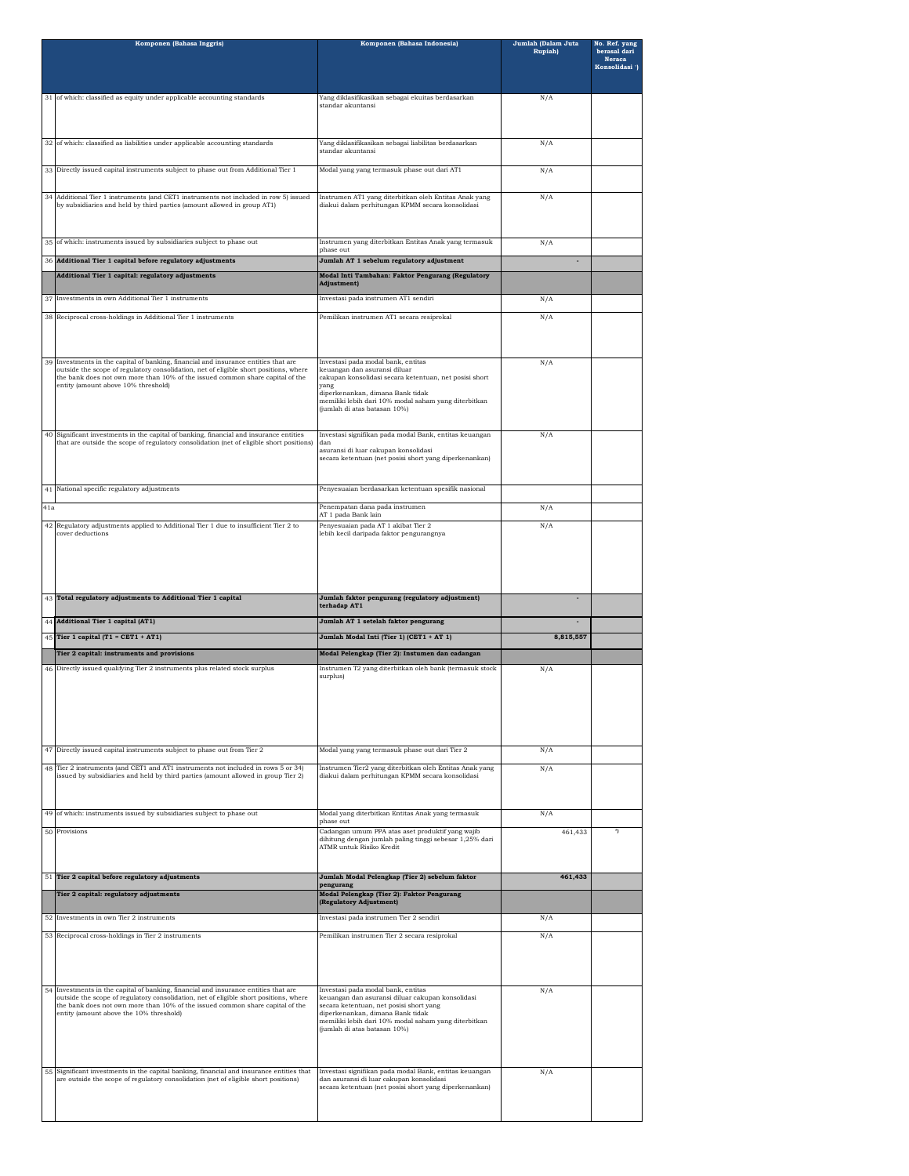|     | Komponen (Bahasa Inggris)                                                                                                                                                                                                                                                                             | Komponen (Bahasa Indonesia)                                                                                                                                                                                                                                   | Jumlah (Dalam Juta<br><b>Rupiah</b> ) | No. Ref. yang<br>berasal dari |
|-----|-------------------------------------------------------------------------------------------------------------------------------------------------------------------------------------------------------------------------------------------------------------------------------------------------------|---------------------------------------------------------------------------------------------------------------------------------------------------------------------------------------------------------------------------------------------------------------|---------------------------------------|-------------------------------|
|     |                                                                                                                                                                                                                                                                                                       |                                                                                                                                                                                                                                                               |                                       | Neraca<br>Konsolidasi ')      |
|     | 31 of which: classified as equity under applicable accounting standards                                                                                                                                                                                                                               | Yang diklasifikasikan sebagai ekuitas berdasarkan<br>standar akuntansi                                                                                                                                                                                        | N/A                                   |                               |
|     |                                                                                                                                                                                                                                                                                                       |                                                                                                                                                                                                                                                               |                                       |                               |
|     | 32 of which: classified as liabilities under applicable accounting standards                                                                                                                                                                                                                          | Yang diklasifikasikan sebagai liabilitas berdasarkan<br>standar akuntansi                                                                                                                                                                                     | N/A                                   |                               |
|     | 33 Directly issued capital instruments subject to phase out from Additional Tier 1                                                                                                                                                                                                                    | Modal yang yang termasuk phase out dari AT1                                                                                                                                                                                                                   | N/A                                   |                               |
| 34  | Additional Tier 1 instruments (and CET1 instruments not included in row 5) issued<br>by subsidiaries and held by third parties (amount allowed in group AT1)                                                                                                                                          | Instrumen AT1 yang diterbitkan oleh Entitas Anak yang<br>diakui dalam perhitungan KPMM secara konsolidasi                                                                                                                                                     | N/A                                   |                               |
| 35  | of which: instruments issued by subsidiaries subject to phase out                                                                                                                                                                                                                                     | Instrumen yang diterbitkan Entitas Anak yang termasuk<br>phase out                                                                                                                                                                                            | N/A                                   |                               |
| 36  | Additional Tier 1 capital before regulatory adjustments                                                                                                                                                                                                                                               | Jumlah AT 1 sebelum regulatory adjustment                                                                                                                                                                                                                     |                                       |                               |
|     | Additional Tier 1 capital: regulatory adjustments                                                                                                                                                                                                                                                     | Modal Inti Tambahan: Faktor Pengurang (Regulatory<br>Adjustment)                                                                                                                                                                                              |                                       |                               |
| 37  | Investments in own Additional Tier 1 instruments                                                                                                                                                                                                                                                      | Investasi pada instrumen AT1 sendiri                                                                                                                                                                                                                          | N/A                                   |                               |
| 38  | Reciprocal cross-holdings in Additional Tier 1 instruments                                                                                                                                                                                                                                            | Pemilikan instrumen AT1 secara resiprokal                                                                                                                                                                                                                     | N/A                                   |                               |
| 39  | Investments in the capital of banking, financial and insurance entities that are<br>outside the scope of regulatory consolidation, net of eligible short positions, where<br>the bank does not own more than 10% of the issued common share capital of the<br>entity (amount above 10% threshold)     | Investasi pada modal bank, entitas<br>keuangan dan asuransi diluar<br>cakupan konsolidasi secara ketentuan, net posisi short<br>yang<br>diperkenankan, dimana Bank tidak                                                                                      | N/A                                   |                               |
|     |                                                                                                                                                                                                                                                                                                       | memiliki lebih dari 10% modal saham yang diterbitkan<br>(jumlah di atas batasan 10%)                                                                                                                                                                          |                                       |                               |
| 40  | Significant investments in the capital of banking, financial and insurance entities<br>that are outside the scope of regulatory consolidation (net of eligible short positions)                                                                                                                       | Investasi signifikan pada modal Bank, entitas keuangan<br>dan<br>asuransi di luar cakupan konsolidasi                                                                                                                                                         | N/A                                   |                               |
|     |                                                                                                                                                                                                                                                                                                       | secara ketentuan (net posisi short yang diperkenankan)                                                                                                                                                                                                        |                                       |                               |
|     | 41 National specific regulatory adjustments                                                                                                                                                                                                                                                           | Penyesuaian berdasarkan ketentuan spesifik nasional                                                                                                                                                                                                           |                                       |                               |
| 41a |                                                                                                                                                                                                                                                                                                       | Penempatan dana pada instrumen<br>AT 1 pada Bank lain                                                                                                                                                                                                         | N/A                                   |                               |
| 42  | Regulatory adjustments applied to Additional Tier 1 due to insufficient Tier 2 to<br>cover deductions                                                                                                                                                                                                 | Penyesuaian pada AT 1 akibat Tier 2                                                                                                                                                                                                                           | N/A                                   |                               |
|     |                                                                                                                                                                                                                                                                                                       | lebih kecil daripada faktor pengurangnya                                                                                                                                                                                                                      |                                       |                               |
|     |                                                                                                                                                                                                                                                                                                       |                                                                                                                                                                                                                                                               |                                       |                               |
|     | 43 Total regulatory adjustments to Additional Tier 1 capital                                                                                                                                                                                                                                          | Jumlah faktor pengurang (regulatory adjustment)                                                                                                                                                                                                               |                                       |                               |
|     |                                                                                                                                                                                                                                                                                                       |                                                                                                                                                                                                                                                               |                                       |                               |
|     |                                                                                                                                                                                                                                                                                                       | terhadap AT1                                                                                                                                                                                                                                                  |                                       |                               |
|     | 44 Additional Tier 1 capital (AT1)<br>45 Tier 1 capital (T1 = CET1 + AT1)                                                                                                                                                                                                                             | Jumlah AT 1 setelah faktor pengurang<br>Jumlah Modal Inti (Tier 1) (CET1 + AT 1)                                                                                                                                                                              | 8,815,557                             |                               |
|     | Tier 2 capital: instruments and provisions                                                                                                                                                                                                                                                            | Modal Pelengkap (Tier 2): Instumen dan cadangan                                                                                                                                                                                                               |                                       |                               |
| 46  | Directly issued qualifying Tier 2 instruments plus related stock surplus                                                                                                                                                                                                                              | Instrumen T2 yang diterbitkan oleh bank (termasuk stock<br>surplus)                                                                                                                                                                                           | N/A                                   |                               |
|     |                                                                                                                                                                                                                                                                                                       |                                                                                                                                                                                                                                                               |                                       |                               |
|     | 47 Directly issued capital instruments subject to phase out from Tier 2                                                                                                                                                                                                                               | Modal yang yang termasuk phase out dari Tier 2                                                                                                                                                                                                                | N/A                                   |                               |
| 48  | Tier 2 instruments (and CET1 and AT1 instruments not included in rows 5 or 34)                                                                                                                                                                                                                        | Instrumen Tier2 yang diterbitkan oleh Entitas Anak yang                                                                                                                                                                                                       | N/A                                   |                               |
|     | issued by subsidiaries and held by third parties (amount allowed in group Tier 2)                                                                                                                                                                                                                     | diakui dalam perhitungan KPMM secara konsolidasi                                                                                                                                                                                                              |                                       |                               |
| 49  | of which: instruments issued by subsidiaries subject to phase out                                                                                                                                                                                                                                     | Modal yang diterbitkan Entitas Anak yang termasuk<br>phase out                                                                                                                                                                                                | N/A                                   |                               |
|     | 50 Provisions                                                                                                                                                                                                                                                                                         | Cadangan umum PPA atas aset produktif yang wajib<br>dihitung dengan jumlah paling tinggi sebesar 1,25% dari<br>ATMR untuk Risiko Kredit                                                                                                                       | 461,433                               | ŋ                             |
|     | 51 Tier 2 capital before regulatory adjustments                                                                                                                                                                                                                                                       | Jumlah Modal Pelengkap (Tier 2) sebelum faktor<br>pengurang                                                                                                                                                                                                   | 461,433                               |                               |
|     | Tier 2 capital: regulatory adjustments                                                                                                                                                                                                                                                                | Modal Pelengkap (Tier 2): Faktor Pengurang<br>(Regulatory Adjustment)                                                                                                                                                                                         |                                       |                               |
|     | 52 Investments in own Tier 2 instruments                                                                                                                                                                                                                                                              | Investasi pada instrumen Tier 2 sendiri                                                                                                                                                                                                                       | N/A                                   |                               |
|     | 53 Reciprocal cross-holdings in Tier 2 instruments                                                                                                                                                                                                                                                    | Pemilikan instrumen Tier 2 secara resiprokal                                                                                                                                                                                                                  | N/A                                   |                               |
|     |                                                                                                                                                                                                                                                                                                       |                                                                                                                                                                                                                                                               |                                       |                               |
| 54  | Investments in the capital of banking, financial and insurance entities that are<br>outside the scope of regulatory consolidation, net of eligible short positions, where<br>the bank does not own more than 10% of the issued common share capital of the<br>entity (amount above the 10% threshold) | Investasi pada modal bank, entitas<br>keuangan dan asuransi diluar cakupan konsolidasi<br>secara ketentuan, net posisi short yang<br>diperkenankan, dimana Bank tidak<br>memiliki lebih dari 10% modal saham yang diterbitkan<br>(jumlah di atas batasan 10%) | N/A                                   |                               |
| 55  | Significant investments in the capital banking, financial and insurance entities that                                                                                                                                                                                                                 | Investasi signifikan pada modal Bank, entitas keuangan                                                                                                                                                                                                        | N/A                                   |                               |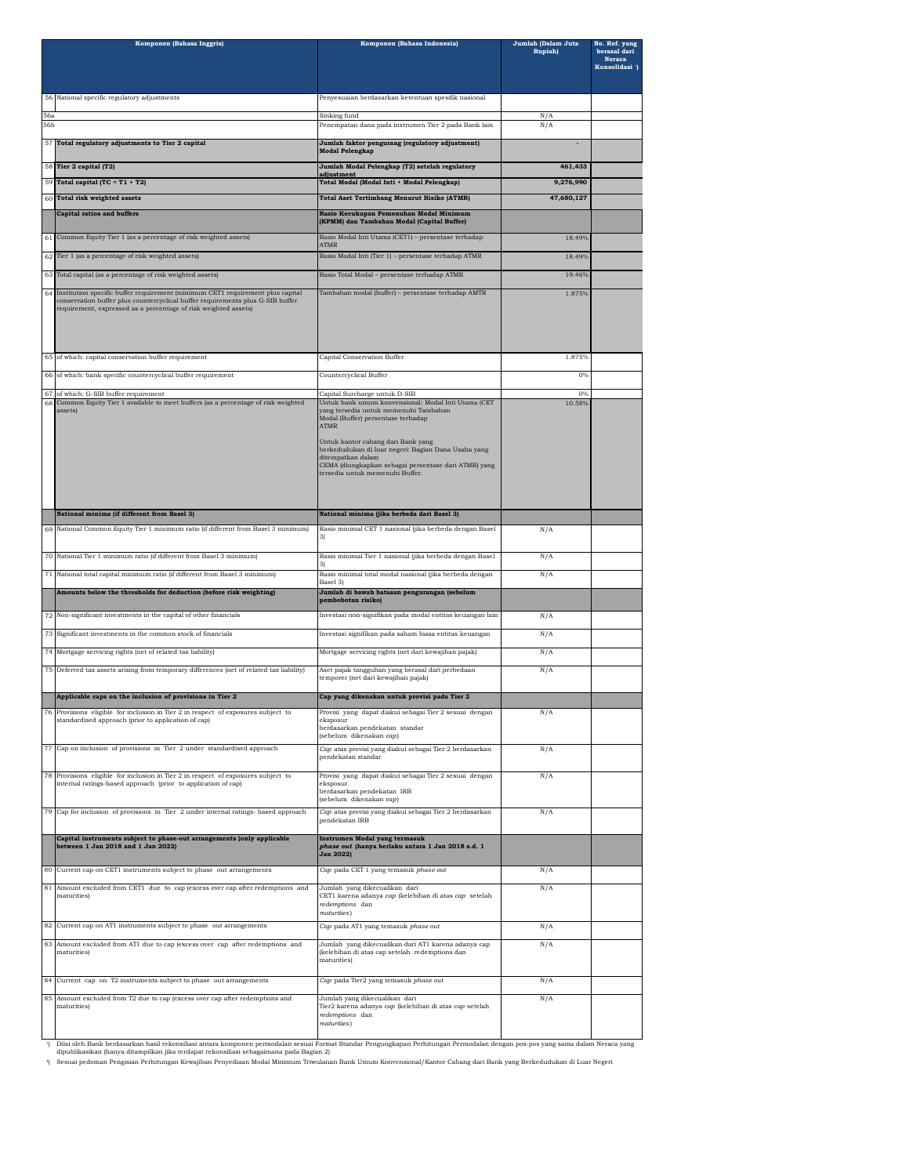|            | Komponen (Bahasa Inggris)                                                                                                                                                                                                           | Komponen (Bahasa Indonesia)                                                                                                                                                                                                                                                                                                                                    | Jumlah (Dalam Juta<br>Rupiah) | No. Ref. yang<br>berasal dari<br>Neraca<br>Konsolidasi ') |
|------------|-------------------------------------------------------------------------------------------------------------------------------------------------------------------------------------------------------------------------------------|----------------------------------------------------------------------------------------------------------------------------------------------------------------------------------------------------------------------------------------------------------------------------------------------------------------------------------------------------------------|-------------------------------|-----------------------------------------------------------|
|            | 56 National specific regulatory adjustments                                                                                                                                                                                         | Penyesuaian berdasarkan ketentuan spesifik nasional                                                                                                                                                                                                                                                                                                            |                               |                                                           |
| 56a<br>56b |                                                                                                                                                                                                                                     | Sinking fund<br>Penempatan dana pada instrumen Tier 2 pada Bank lain                                                                                                                                                                                                                                                                                           | N/A<br>N/A                    |                                                           |
|            | 57 Total regulatory adjustments to Tier 2 capital                                                                                                                                                                                   | Jumlah faktor pengurang (regulatory adjustment)<br><b>Modal Pelengkap</b>                                                                                                                                                                                                                                                                                      |                               |                                                           |
|            | 58 Tier 2 capital (T2)                                                                                                                                                                                                              | Jumlah Modal Pelengkap (T2) setelah regulatory<br>adjustment                                                                                                                                                                                                                                                                                                   | 461,433                       |                                                           |
|            | 59 Total capital (TC = $T1 + T2$ )                                                                                                                                                                                                  | Total Modal (Modal Inti + Modal Pelengkap)                                                                                                                                                                                                                                                                                                                     | 9,276,990                     |                                                           |
| 60         | <b>Total risk weighted assets</b>                                                                                                                                                                                                   | Total Aset Tertimbang Menurut Risiko (ATMR)                                                                                                                                                                                                                                                                                                                    | 47,680,127                    |                                                           |
|            | <b>Capital ratios and buffers</b>                                                                                                                                                                                                   | Rasio Kecukupan Pemenuhan Modal Minimum<br>(KPMM) dan Tambahan Modal (Capital Buffer)                                                                                                                                                                                                                                                                          |                               |                                                           |
|            | 61 Common Equity Tier 1 (as a percentage of risk weighted assets)                                                                                                                                                                   | Rasio Modal Inti Utama (CET1) – persentase terhadap<br>ATMR                                                                                                                                                                                                                                                                                                    | 18.49%                        |                                                           |
| 62         | Tier 1 (as a percentage of risk weighted assets)                                                                                                                                                                                    | Rasio Modal Inti (Tier 1) - persentase terhadap ATMR                                                                                                                                                                                                                                                                                                           | 18.49%                        |                                                           |
| 63         | Total capital (as a percentage of risk weighted assets)                                                                                                                                                                             | Rasio Total Modal - persentase terhadap ATMR                                                                                                                                                                                                                                                                                                                   | 19.46%                        |                                                           |
| 64         | Institution specific buffer requirement (minimum CET1 requirement plus capital<br>conservation buffer plus countercyclical buffer requirements plus G-SIB buffer<br>requirement, expressed as a percentage of risk weighted assets) | Tambahan modal (buffer) - persentase terhadap AMTR                                                                                                                                                                                                                                                                                                             | 1.875%                        |                                                           |
|            | 65 of which: capital conservation buffer requirement                                                                                                                                                                                | Capital Conservation Buffer                                                                                                                                                                                                                                                                                                                                    | 1.875%                        |                                                           |
| 66         | of which: bank specific countercyclical buffer requirement                                                                                                                                                                          | Countercyclical Buffer                                                                                                                                                                                                                                                                                                                                         | 0%                            |                                                           |
| 67         | of which: G-SIB buffer requirement                                                                                                                                                                                                  | Capital Surcharge untuk D-SIB                                                                                                                                                                                                                                                                                                                                  | $O\%$                         |                                                           |
| 68         | Common Equity Tier 1 available to meet buffers (as a percentage of risk weighted<br>assets)                                                                                                                                         | Untuk bank umum konvensional: Modal Inti Utama (CET<br>yang tersedia untuk memenuhi Tambahan<br>Modal (Buffer) persentase terhadap<br><b>ATMR</b><br>Untuk kantor cabang dari Bank yang<br>berkedudukan di luar negeri: Bagian Dana Usaha yang<br>ditempatkan dalam<br>CEMA (diungkapkan sebagai persentase dari ATMR) yang<br>tersedia untuk memenuhi Buffer. | 10.58%                        |                                                           |
|            | National minima (if different from Basel 3)                                                                                                                                                                                         | National minima (jika berbeda dari Basel 3)                                                                                                                                                                                                                                                                                                                    |                               |                                                           |
| 69         | National Common Equity Tier 1 minimum ratio (if different from Basel 3 minimum)                                                                                                                                                     | Rasio minimal CET 1 nasional (jika berbeda dengan Basel                                                                                                                                                                                                                                                                                                        | N/A                           |                                                           |
|            | 70 National Tier 1 minimum ratio (if different from Basel 3 minimum)                                                                                                                                                                | Rasio minimal Tier 1 nasional (jika berbeda dengan Basel                                                                                                                                                                                                                                                                                                       | N/A                           |                                                           |
| 71         | National total capital minimum ratio (if different from Basel 3 minimum)                                                                                                                                                            | Rasio minimal total modal nasional (jika berbeda dengan<br>Basel 3)                                                                                                                                                                                                                                                                                            | N/A                           |                                                           |
|            | Amounts below the thresholds for deduction (before risk weighting)                                                                                                                                                                  | Jumlah di bawah batasan pengurangan (sebelum<br>pembobotan risiko)                                                                                                                                                                                                                                                                                             |                               |                                                           |
| 72         | Non-significant investments in the capital of other financials                                                                                                                                                                      | Investasi non-signifikan pada modal entitas keuangan lain                                                                                                                                                                                                                                                                                                      | N/A                           |                                                           |
|            |                                                                                                                                                                                                                                     |                                                                                                                                                                                                                                                                                                                                                                |                               |                                                           |
|            | 73 Significant investments in the common stock of financials                                                                                                                                                                        | Investasi signifikan pada saham biasa entitas keuangan                                                                                                                                                                                                                                                                                                         | N/A                           |                                                           |
|            | 74 Mortgage servicing rights (net of related tax liability)                                                                                                                                                                         | Mortgage servicing rights (net dari kewajiban pajak)                                                                                                                                                                                                                                                                                                           | N/A                           |                                                           |
|            | 75 Deferred tax assets arising from temporary differences (net of related tax liability)                                                                                                                                            | Aset pajak tangguhan yang berasal dari perbedaan<br>temporer (net dari kewajiban pajak)                                                                                                                                                                                                                                                                        | N/A                           |                                                           |
|            | Applicable caps on the inclusion of provisions in Tier 2                                                                                                                                                                            | Cap yang dikenakan untuk provisi pada Tier 2                                                                                                                                                                                                                                                                                                                   |                               |                                                           |
| 76         | Provisions eligible for inclusion in Tier 2 in respect of exposures subject to<br>standardised approach (prior to application of cap)                                                                                               | Provisi yang dapat diakui sebagai Tier 2 sesuai dengan<br>eksposur<br>berdasarkan pendekatan standar<br>(sebelum dikenakan cap)                                                                                                                                                                                                                                | N/A                           |                                                           |
|            | 77 Cap on inclusion of provisions in Tier 2 under standardised approach                                                                                                                                                             | Cap atas provisi yang diakui sebagai Tier 2 berdasarkan                                                                                                                                                                                                                                                                                                        | N/A                           |                                                           |
|            |                                                                                                                                                                                                                                     | pendekatan standar                                                                                                                                                                                                                                                                                                                                             |                               |                                                           |
|            | 78 Provisions eligible for inclusion in Tier 2 in respect of exposures subject to<br>internal ratings-based approach (prior to application of cap)                                                                                  | Provisi yang dapat diakui sebagai Tier 2 sesuai dengan<br>eksposur<br>berdasarkan pendekatan IRB<br>(sebelum dikenakan cap)                                                                                                                                                                                                                                    | N/A                           |                                                           |
|            | 79 Cap for inclusion of provisions in Tier 2 under internal ratings- based approach                                                                                                                                                 | Cap atas provisi yang diakui sebagai Tier 2 berdasarkan<br>pendekatan IRB                                                                                                                                                                                                                                                                                      | N/A                           |                                                           |
|            | Capital instruments subject to phase-out arrangements (only applicable<br>between 1 Jan 2018 and 1 Jan 2022)                                                                                                                        | <b>Instrumen Modal yang termasuk</b><br>phase out (hanya berlaku antara 1 Jan 2018 s.d. 1<br>Jan 2022)                                                                                                                                                                                                                                                         |                               |                                                           |
| 80         | Current cap on CET1 instruments subject to phase out arrangements                                                                                                                                                                   | Cap pada CET 1 yang temasuk phase out                                                                                                                                                                                                                                                                                                                          | N/A                           |                                                           |
| 81         | Amount excluded from CET1 due to cap (excess over cap after redemptions and<br>maturities)                                                                                                                                          | Jumlah yang dikecualikan dari<br>CET1 karena adanya cap (kelebihan di atas cap setelah<br>redemptions dan<br>maturities)                                                                                                                                                                                                                                       | N/A                           |                                                           |
|            | 82 Current cap on AT1 instruments subject to phase out arrangements                                                                                                                                                                 | Cap pada AT1 yang temasuk phase out                                                                                                                                                                                                                                                                                                                            | N/A                           |                                                           |
| 83         | Amount excluded from AT1 due to cap (excess over cap after redemptions and<br>maturities                                                                                                                                            | Jumlah yang dikecualikan dari AT1 karena adanya cap<br>(kelebihan di atas cap setelah redemptions dan<br><i>maturities</i>                                                                                                                                                                                                                                     | N/A                           |                                                           |
| 84         | Current cap on T2 instruments subject to phase out arrangements                                                                                                                                                                     | Cap pada Tier2 yang temasuk phase out                                                                                                                                                                                                                                                                                                                          | N/A                           |                                                           |
| 85         | Amount excluded from T2 due to cap (excess over cap after redemptions and                                                                                                                                                           | Jumlah yang dikecualikan dari                                                                                                                                                                                                                                                                                                                                  | N/A                           |                                                           |
|            | <i>maturities</i> )                                                                                                                                                                                                                 | Tier2 karena adanya cap (kelebihan di atas cap setelah<br>redemptions dan<br>maturities)                                                                                                                                                                                                                                                                       |                               |                                                           |

¹) Diisi oleh Bank berdasarkan hasil rekonsilasi antara komponen permodalan sesuai Pompongkapan Perhitungan Permodalan dengan pos-pos yang sama dalam Neraca yang<br>dipublikasikan (hanya ditampilkan jika terdapat rekonsiliasi se

²) Sesuai pedoman Pengisian Perhitungan Kewajiban Penyediaan Modal Minimum Triwulanan Bank Umum Konvensional/Kantor Cabang dari Bank yang Berkedudukan di Luar Negeri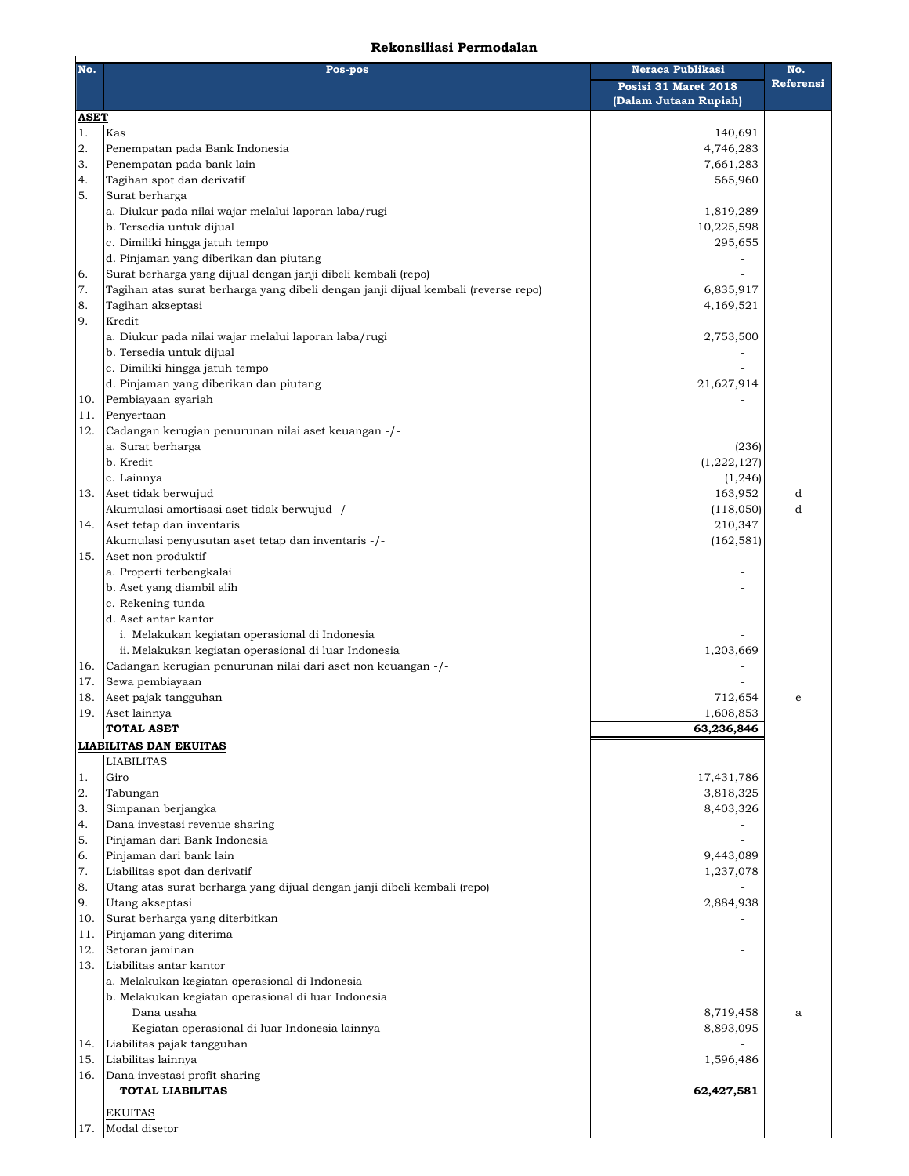## **Rekonsiliasi Permodalan**

| No.               | Pos-pos                                                                            | Neraca Publikasi<br>Posisi 31 Maret 2018<br>(Dalam Jutaan Rupiah) | No.<br>Referensi |
|-------------------|------------------------------------------------------------------------------------|-------------------------------------------------------------------|------------------|
| <b>ASET</b><br>1. | Kas                                                                                | 140,691                                                           |                  |
| 2.                | Penempatan pada Bank Indonesia                                                     | 4,746,283                                                         |                  |
| 3.                | Penempatan pada bank lain                                                          | 7,661,283                                                         |                  |
| 4.                | Tagihan spot dan derivatif                                                         | 565,960                                                           |                  |
| 5.                | Surat berharga                                                                     |                                                                   |                  |
|                   | a. Diukur pada nilai wajar melalui laporan laba/rugi<br>b. Tersedia untuk dijual   | 1,819,289<br>10,225,598                                           |                  |
|                   | c. Dimiliki hingga jatuh tempo                                                     | 295,655                                                           |                  |
|                   | d. Pinjaman yang diberikan dan piutang                                             |                                                                   |                  |
| 6.                | Surat berharga yang dijual dengan janji dibeli kembali (repo)                      |                                                                   |                  |
| 7.                | Tagihan atas surat berharga yang dibeli dengan janji dijual kembali (reverse repo) | 6,835,917                                                         |                  |
| 8.                | Tagihan akseptasi                                                                  | 4,169,521                                                         |                  |
| 9.                | Kredit                                                                             |                                                                   |                  |
|                   | a. Diukur pada nilai wajar melalui laporan laba/rugi                               | 2,753,500                                                         |                  |
|                   | b. Tersedia untuk dijual<br>c. Dimiliki hingga jatuh tempo                         |                                                                   |                  |
|                   | d. Pinjaman yang diberikan dan piutang                                             | 21,627,914                                                        |                  |
| 10.               | Pembiayaan syariah                                                                 |                                                                   |                  |
| 11.               | Penyertaan                                                                         |                                                                   |                  |
| 12.               | Cadangan kerugian penurunan nilai aset keuangan -/-                                |                                                                   |                  |
|                   | a. Surat berharga                                                                  | (236)                                                             |                  |
|                   | b. Kredit                                                                          | (1,222,127)                                                       |                  |
|                   | c. Lainnya                                                                         | (1, 246)                                                          |                  |
| 13.               | Aset tidak berwujud                                                                | 163,952                                                           | d                |
|                   | Akumulasi amortisasi aset tidak berwujud -/-                                       | (118,050)                                                         | d                |
| 14.               | Aset tetap dan inventaris<br>Akumulasi penyusutan aset tetap dan inventaris -/-    | 210,347<br>(162, 581)                                             |                  |
| 15.               | Aset non produktif                                                                 |                                                                   |                  |
|                   | a. Properti terbengkalai                                                           |                                                                   |                  |
|                   | b. Aset yang diambil alih                                                          |                                                                   |                  |
|                   | c. Rekening tunda                                                                  |                                                                   |                  |
|                   | d. Aset antar kantor                                                               |                                                                   |                  |
|                   | i. Melakukan kegiatan operasional di Indonesia                                     |                                                                   |                  |
|                   | ii. Melakukan kegiatan operasional di luar Indonesia                               | 1,203,669                                                         |                  |
| 16.<br>17.        | Cadangan kerugian penurunan nilai dari aset non keuangan -/-<br>Sewa pembiayaan    |                                                                   |                  |
| 18.               | Aset pajak tangguhan                                                               | 712,654                                                           | e                |
| 19.               | Aset lainnya                                                                       | 1,608,853                                                         |                  |
|                   | <b>TOTAL ASET</b>                                                                  | 63,236,846                                                        |                  |
|                   | <b>LIABILITAS DAN EKUITAS</b>                                                      |                                                                   |                  |
|                   | <b>LIABILITAS</b>                                                                  |                                                                   |                  |
| $1.$              | Giro                                                                               | 17,431,786                                                        |                  |
| 2.                | Tabungan                                                                           | 3,818,325                                                         |                  |
| 3.                | Simpanan berjangka                                                                 | 8,403,326                                                         |                  |
| 4.<br>5.          | Dana investasi revenue sharing<br>Pinjaman dari Bank Indonesia                     |                                                                   |                  |
| 6.                | Pinjaman dari bank lain                                                            | 9,443,089                                                         |                  |
| $7. \,$           | Liabilitas spot dan derivatif                                                      | 1,237,078                                                         |                  |
| 8.                | Utang atas surat berharga yang dijual dengan janji dibeli kembali (repo)           |                                                                   |                  |
| 9.                | Utang akseptasi                                                                    | 2,884,938                                                         |                  |
| 10.               | Surat berharga yang diterbitkan                                                    |                                                                   |                  |
| 11.               | Pinjaman yang diterima                                                             |                                                                   |                  |
| 12.               | Setoran jaminan                                                                    |                                                                   |                  |
| 13.               | Liabilitas antar kantor                                                            |                                                                   |                  |
|                   | a. Melakukan kegiatan operasional di Indonesia                                     |                                                                   |                  |
|                   | b. Melakukan kegiatan operasional di luar Indonesia<br>Dana usaha                  | 8,719,458                                                         | a                |
|                   | Kegiatan operasional di luar Indonesia lainnya                                     | 8,893,095                                                         |                  |
| 14.               | Liabilitas pajak tangguhan                                                         |                                                                   |                  |
| 15.               | Liabilitas lainnya                                                                 | 1,596,486                                                         |                  |
| 16.               | Dana investasi profit sharing                                                      |                                                                   |                  |
|                   | <b>TOTAL LIABILITAS</b>                                                            | 62,427,581                                                        |                  |
|                   | <b>EKUITAS</b>                                                                     |                                                                   |                  |
| 17.               | Modal disetor                                                                      |                                                                   |                  |
|                   |                                                                                    |                                                                   |                  |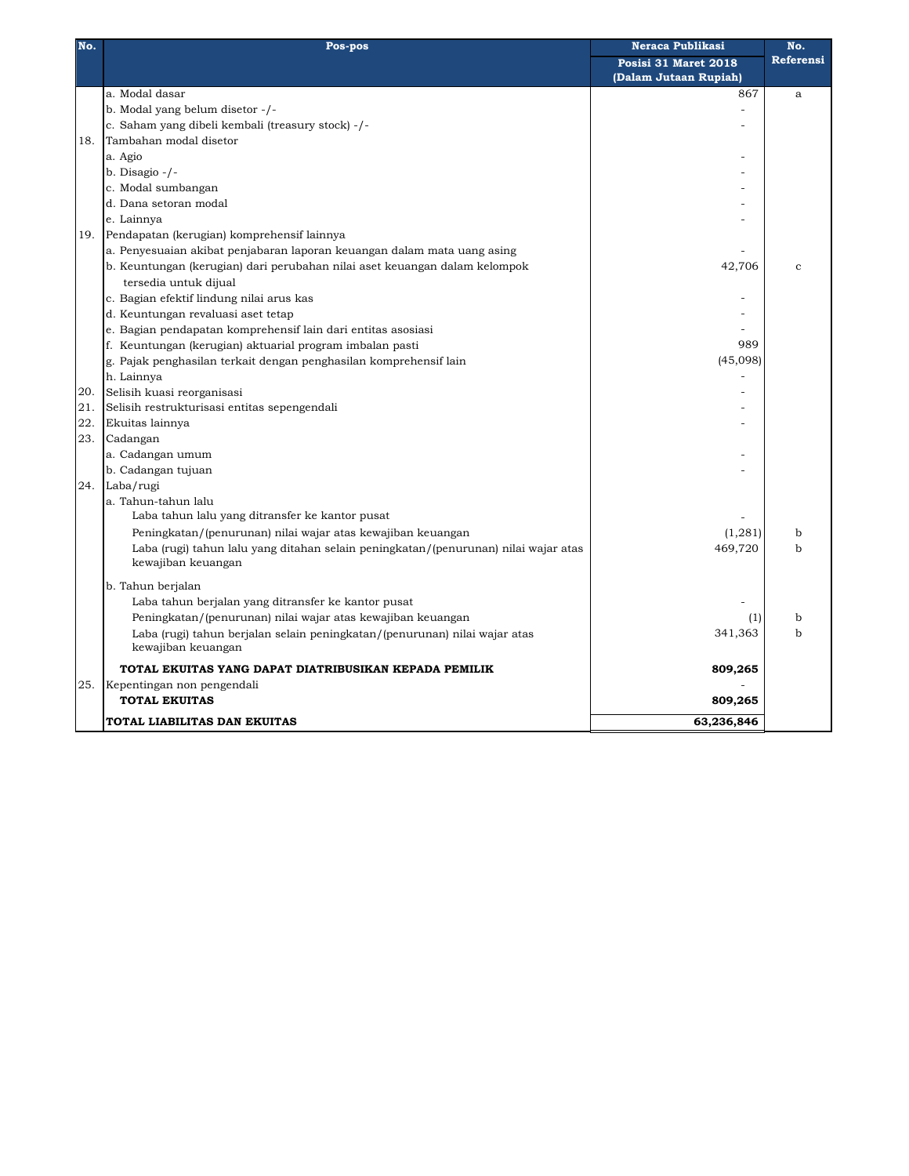| No. | Pos-pos                                                                             | Neraca Publikasi      | No.          |
|-----|-------------------------------------------------------------------------------------|-----------------------|--------------|
|     |                                                                                     | Posisi 31 Maret 2018  | Referensi    |
|     |                                                                                     | (Dalam Jutaan Rupiah) |              |
|     | a. Modal dasar                                                                      | 867                   | $\mathbf{a}$ |
|     | b. Modal yang belum disetor -/-                                                     |                       |              |
|     | c. Saham yang dibeli kembali (treasury stock) -/-                                   |                       |              |
| 18. | Tambahan modal disetor                                                              |                       |              |
|     | a. Agio                                                                             |                       |              |
|     | b. Disagio -/-                                                                      |                       |              |
|     | c. Modal sumbangan                                                                  |                       |              |
|     | d. Dana setoran modal                                                               |                       |              |
|     | e. Lainnya                                                                          |                       |              |
| 19. | Pendapatan (kerugian) komprehensif lainnya                                          |                       |              |
|     | a. Penyesuaian akibat penjabaran laporan keuangan dalam mata uang asing             |                       |              |
|     | b. Keuntungan (kerugian) dari perubahan nilai aset keuangan dalam kelompok          | 42,706                | $\mathbf{c}$ |
|     | tersedia untuk dijual                                                               |                       |              |
|     | c. Bagian efektif lindung nilai arus kas                                            |                       |              |
|     | d. Keuntungan revaluasi aset tetap                                                  |                       |              |
|     | e. Bagian pendapatan komprehensif lain dari entitas asosiasi                        |                       |              |
|     | f. Keuntungan (kerugian) aktuarial program imbalan pasti                            | 989                   |              |
|     | g. Pajak penghasilan terkait dengan penghasilan komprehensif lain                   | (45,098)              |              |
|     | h. Lainnya                                                                          |                       |              |
| 20. | Selisih kuasi reorganisasi                                                          |                       |              |
| 21. | Selisih restrukturisasi entitas sepengendali                                        |                       |              |
| 22. | Ekuitas lainnya                                                                     |                       |              |
| 23. | Cadangan                                                                            |                       |              |
|     | a. Cadangan umum                                                                    |                       |              |
|     | b. Cadangan tujuan                                                                  |                       |              |
| 24. | Laba/rugi                                                                           |                       |              |
|     | a. Tahun-tahun lalu                                                                 |                       |              |
|     | Laba tahun lalu yang ditransfer ke kantor pusat                                     |                       |              |
|     | Peningkatan/(penurunan) nilai wajar atas kewajiban keuangan                         | (1, 281)              | b            |
|     | Laba (rugi) tahun lalu yang ditahan selain peningkatan/(penurunan) nilai wajar atas | 469,720               | b            |
|     | kewajiban keuangan                                                                  |                       |              |
|     | b. Tahun berjalan                                                                   |                       |              |
|     | Laba tahun berjalan yang ditransfer ke kantor pusat                                 |                       |              |
|     | Peningkatan/(penurunan) nilai wajar atas kewajiban keuangan                         | (1)                   | b            |
|     | Laba (rugi) tahun berjalan selain peningkatan/(penurunan) nilai wajar atas          | 341,363               | ħ            |
|     | kewajiban keuangan                                                                  |                       |              |
|     | TOTAL EKUITAS YANG DAPAT DIATRIBUSIKAN KEPADA PEMILIK                               | 809,265               |              |
| 25. | Kepentingan non pengendali                                                          |                       |              |
|     | <b>TOTAL EKUITAS</b>                                                                | 809,265               |              |
|     | TOTAL LIABILITAS DAN EKUITAS                                                        | 63,236,846            |              |